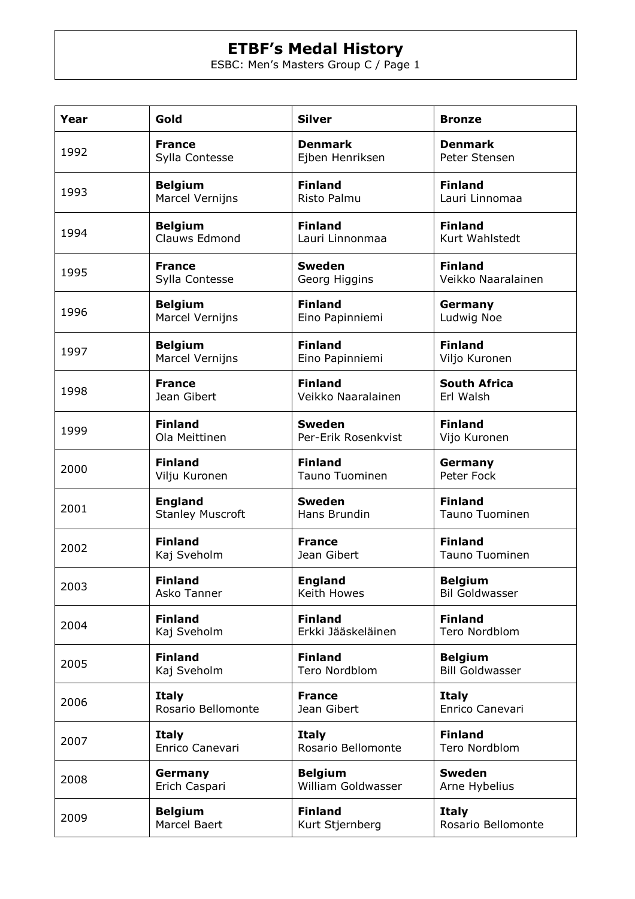## **ETBF's Medal History**

ESBC: Men's Masters Group C / Page 1

| Year | Gold                    | <b>Silver</b>       | <b>Bronze</b>          |
|------|-------------------------|---------------------|------------------------|
| 1992 | <b>France</b>           | <b>Denmark</b>      | <b>Denmark</b>         |
|      | Sylla Contesse          | Ejben Henriksen     | Peter Stensen          |
| 1993 | <b>Belgium</b>          | <b>Finland</b>      | <b>Finland</b>         |
|      | <b>Marcel Vernijns</b>  | Risto Palmu         | Lauri Linnomaa         |
| 1994 | <b>Belgium</b>          | <b>Finland</b>      | <b>Finland</b>         |
|      | Clauws Edmond           | Lauri Linnonmaa     | Kurt Wahlstedt         |
| 1995 | <b>France</b>           | <b>Sweden</b>       | <b>Finland</b>         |
|      | Sylla Contesse          | Georg Higgins       | Veikko Naaralainen     |
| 1996 | <b>Belgium</b>          | <b>Finland</b>      | Germany                |
|      | <b>Marcel Vernijns</b>  | Eino Papinniemi     | Ludwig Noe             |
| 1997 | <b>Belgium</b>          | <b>Finland</b>      | <b>Finland</b>         |
|      | <b>Marcel Vernijns</b>  | Eino Papinniemi     | Viljo Kuronen          |
| 1998 | <b>France</b>           | <b>Finland</b>      | <b>South Africa</b>    |
|      | Jean Gibert             | Veikko Naaralainen  | Erl Walsh              |
| 1999 | <b>Finland</b>          | <b>Sweden</b>       | <b>Finland</b>         |
|      | Ola Meittinen           | Per-Erik Rosenkvist | Vijo Kuronen           |
| 2000 | <b>Finland</b>          | <b>Finland</b>      | Germany                |
|      | Vilju Kuronen           | Tauno Tuominen      | Peter Fock             |
| 2001 | <b>England</b>          | <b>Sweden</b>       | <b>Finland</b>         |
|      | <b>Stanley Muscroft</b> | Hans Brundin        | <b>Tauno Tuominen</b>  |
| 2002 | <b>Finland</b>          | <b>France</b>       | <b>Finland</b>         |
|      | Kaj Sveholm             | Jean Gibert         | <b>Tauno Tuominen</b>  |
| 2003 | <b>Finland</b>          | <b>England</b>      | <b>Belgium</b>         |
|      | Asko Tanner             | Keith Howes         | <b>Bil Goldwasser</b>  |
| 2004 | <b>Finland</b>          | <b>Finland</b>      | <b>Finland</b>         |
|      | Kaj Sveholm             | Erkki Jääskeläinen  | Tero Nordblom          |
| 2005 | <b>Finland</b>          | <b>Finland</b>      | <b>Belgium</b>         |
|      | Kaj Sveholm             | Tero Nordblom       | <b>Bill Goldwasser</b> |
| 2006 | <b>Italy</b>            | <b>France</b>       | <b>Italy</b>           |
|      | Rosario Bellomonte      | Jean Gibert         | Enrico Canevari        |
| 2007 | <b>Italy</b>            | <b>Italy</b>        | <b>Finland</b>         |
|      | Enrico Canevari         | Rosario Bellomonte  | Tero Nordblom          |
| 2008 | Germany                 | <b>Belgium</b>      | <b>Sweden</b>          |
|      | Erich Caspari           | William Goldwasser  | Arne Hybelius          |
| 2009 | <b>Belgium</b>          | <b>Finland</b>      | <b>Italy</b>           |
|      | Marcel Baert            | Kurt Stjernberg     | Rosario Bellomonte     |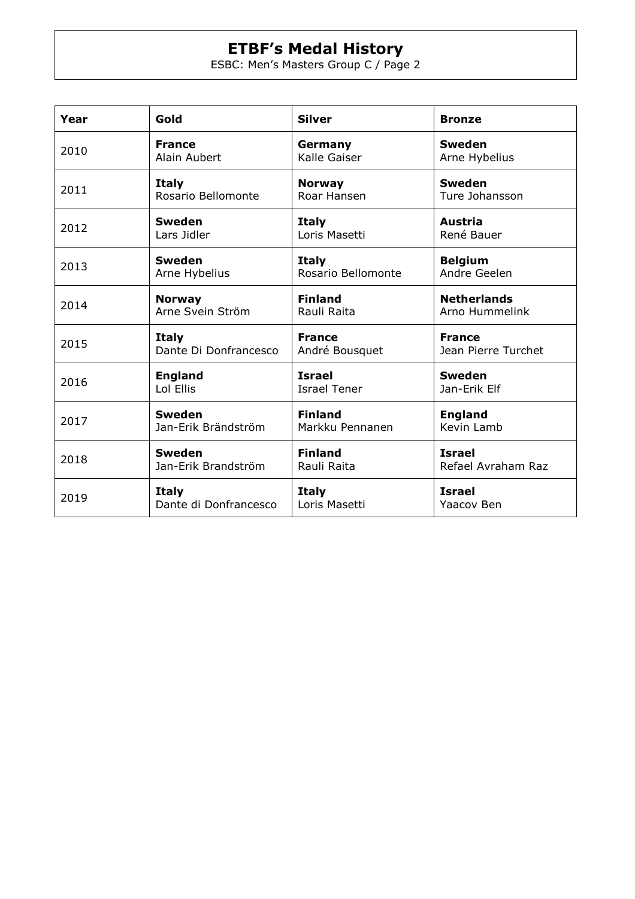## **ETBF's Medal History**

ESBC: Men's Masters Group C / Page 2

| Year | Gold                  | <b>Silver</b>       | <b>Bronze</b>       |
|------|-----------------------|---------------------|---------------------|
| 2010 | <b>France</b>         | Germany             | <b>Sweden</b>       |
|      | Alain Aubert          | Kalle Gaiser        | Arne Hybelius       |
| 2011 | <b>Italy</b>          | <b>Norway</b>       | <b>Sweden</b>       |
|      | Rosario Bellomonte    | Roar Hansen         | Ture Johansson      |
| 2012 | <b>Sweden</b>         | <b>Italy</b>        | Austria             |
|      | Lars Jidler           | Loris Masetti       | René Bauer          |
| 2013 | <b>Sweden</b>         | <b>Italy</b>        | <b>Belgium</b>      |
|      | Arne Hybelius         | Rosario Bellomonte  | Andre Geelen        |
| 2014 | <b>Norway</b>         | <b>Finland</b>      | <b>Netherlands</b>  |
|      | Arne Svein Ström      | Rauli Raita         | Arno Hummelink      |
| 2015 | <b>Italy</b>          | <b>France</b>       | <b>France</b>       |
|      | Dante Di Donfrancesco | André Bousquet      | Jean Pierre Turchet |
| 2016 | <b>England</b>        | <b>Israel</b>       | <b>Sweden</b>       |
|      | Lol Ellis             | <b>Israel Tener</b> | Jan-Erik Elf        |
| 2017 | <b>Sweden</b>         | <b>Finland</b>      | <b>England</b>      |
|      | Jan-Erik Brändström   | Markku Pennanen     | Kevin Lamb          |
| 2018 | <b>Sweden</b>         | <b>Finland</b>      | <b>Israel</b>       |
|      | Jan-Erik Brandström   | Rauli Raita         | Refael Avraham Raz  |
| 2019 | <b>Italy</b>          | <b>Italy</b>        | <b>Israel</b>       |
|      | Dante di Donfrancesco | Loris Masetti       | Yaacov Ben          |